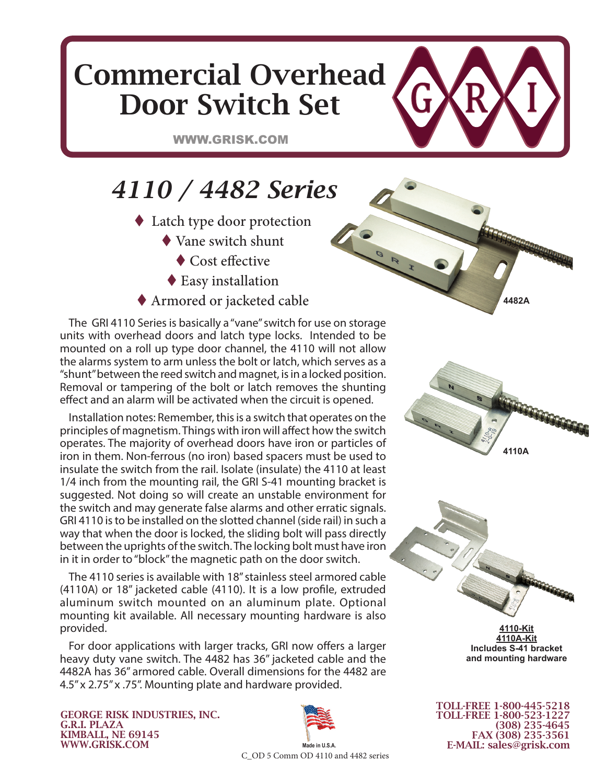## Commercial Overhead Door Switch Set

WWW.GRISK.COM

## *4110 / 4482 Series*

- ◆ Latch type door protection
	- Vane switch shunt
	- ◆ Cost effective
	- ◆ Easy installation
- Armored or jacketed cable

The GRI 4110 Series is basically a "vane" switch for use on storage units with overhead doors and latch type locks. Intended to be mounted on a roll up type door channel, the 4110 will not allow the alarms system to arm unless the bolt or latch, which serves as a "shunt" between the reed switch and magnet, is in a locked position. Removal or tampering of the bolt or latch removes the shunting effect and an alarm will be activated when the circuit is opened.

Installation notes: Remember, this is a switch that operates on the principles of magnetism. Things with iron will affect how the switch operates. The majority of overhead doors have iron or particles of iron in them. Non-ferrous (no iron) based spacers must be used to insulate the switch from the rail. Isolate (insulate) the 4110 at least 1/4 inch from the mounting rail, the GRI S-41 mounting bracket is suggested. Not doing so will create an unstable environment for the switch and may generate false alarms and other erratic signals. GRI 4110 is to be installed on the slotted channel (side rail) in such a way that when the door is locked, the sliding bolt will pass directly between the uprights of the switch. The locking bolt must have iron in it in order to "block" the magnetic path on the door switch.

The 4110 series is available with 18" stainless steel armored cable (4110A) or 18" jacketed cable (4110). It is a low profile, extruded aluminum switch mounted on an aluminum plate. Optional mounting kit available. All necessary mounting hardware is also provided.

For door applications with larger tracks, GRI now offers a larger heavy duty vane switch. The 4482 has 36" jacketed cable and the 4482A has 36" armored cable. Overall dimensions for the 4482 are 4.5" x 2.75" x .75". Mounting plate and hardware provided.

GEORGE RISK INDUSTRIES, INC. G.R.I. PLAZA KIMBALL, NE 69145 WWW.GRISK.COM



**Made in U.S.A.** C\_OD 5 Comm OD 4110 and 4482 series



**4482A**



**4110-Kit 4110A-Kit Includes S-41 bracket and mounting hardware**

TOLL-FREE 1-800-445-5218 TOLL-FREE 1-800-523-1227 (308) 235-4645 FAX (308) 235-3561 E-MAIL: sales@grisk.com